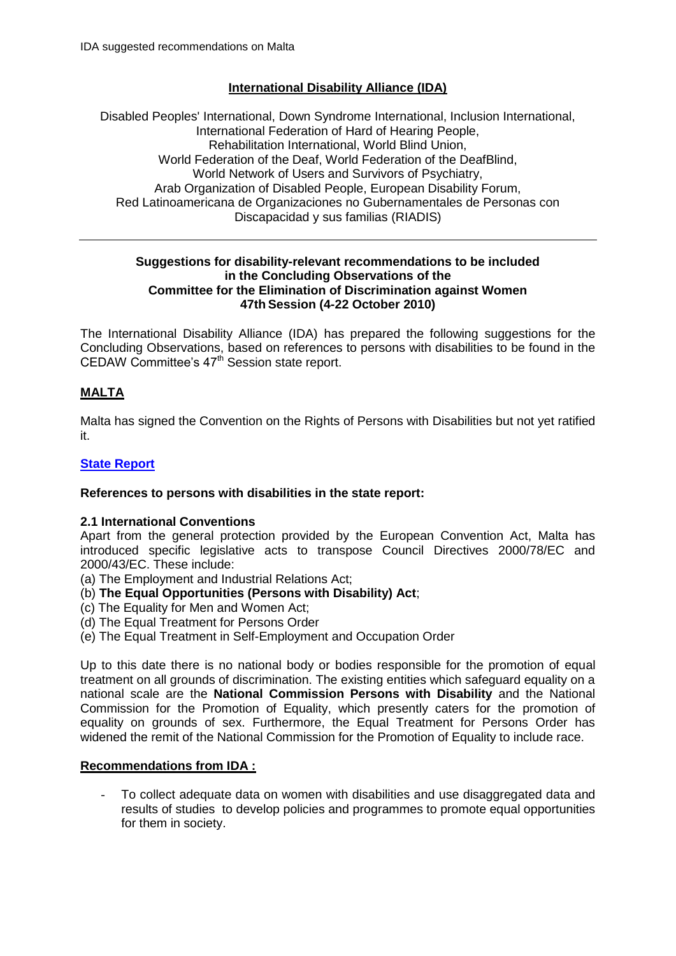# **International Disability Alliance (IDA)**

Disabled Peoples' International, Down Syndrome International, Inclusion International, International Federation of Hard of Hearing People, Rehabilitation International, World Blind Union, World Federation of the Deaf, World Federation of the DeafBlind, World Network of Users and Survivors of Psychiatry, Arab Organization of Disabled People, European Disability Forum, Red Latinoamericana de Organizaciones no Gubernamentales de Personas con Discapacidad y sus familias (RIADIS)

#### **Suggestions for disability-relevant recommendations to be included in the Concluding Observations of the Committee for the Elimination of Discrimination against Women 47th Session (4-22 October 2010)**

The International Disability Alliance (IDA) has prepared the following suggestions for the Concluding Observations, based on references to persons with disabilities to be found in the CEDAW Committee's  $47<sup>th</sup>$  Session state report.

# **MALTA**

Malta has signed the Convention on the Rights of Persons with Disabilities but not yet ratified it.

## **[State Report](http://www2.ohchr.org/english/bodies/cedaw/docs/CEDAW.C.MLT.4.pdf)**

## **References to persons with disabilities in the state report:**

## **2.1 International Conventions**

Apart from the general protection provided by the European Convention Act, Malta has introduced specific legislative acts to transpose Council Directives 2000/78/EC and 2000/43/EC. These include:

- (a) The Employment and Industrial Relations Act;
- (b) **The Equal Opportunities (Persons with Disability) Act**;
- (c) The Equality for Men and Women Act;
- (d) The Equal Treatment for Persons Order
- (e) The Equal Treatment in Self-Employment and Occupation Order

Up to this date there is no national body or bodies responsible for the promotion of equal treatment on all grounds of discrimination. The existing entities which safeguard equality on a national scale are the **National Commission Persons with Disability** and the National Commission for the Promotion of Equality, which presently caters for the promotion of equality on grounds of sex. Furthermore, the Equal Treatment for Persons Order has widened the remit of the National Commission for the Promotion of Equality to include race.

## **Recommendations from IDA :**

To collect adequate data on women with disabilities and use disaggregated data and results of studies to develop policies and programmes to promote equal opportunities for them in society.